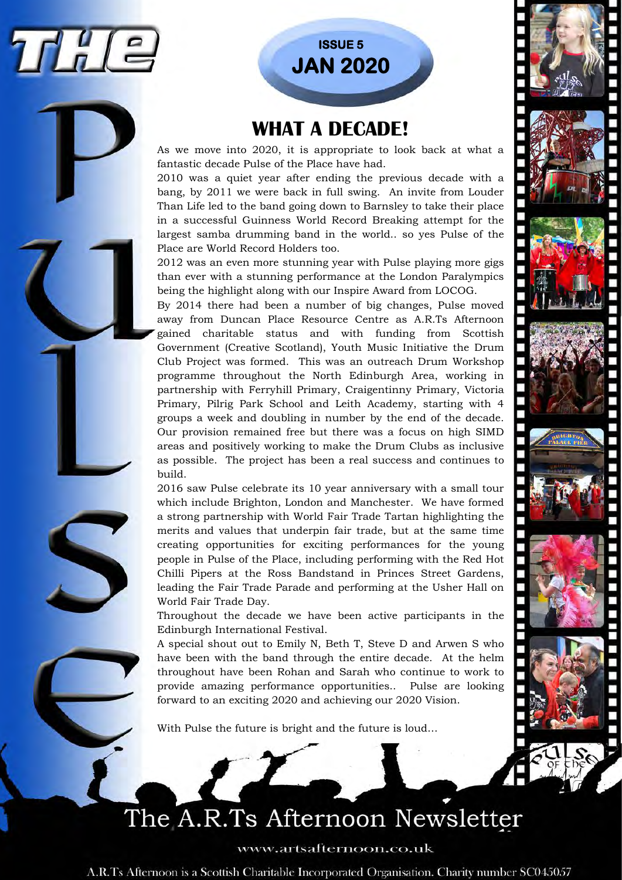

## **ISSUE 5 JAN 2020**

### **WHAT A DECADE!**

As we move into 2020, it is appropriate to look back at what a fantastic decade Pulse of the Place have had.

2010 was a quiet year after ending the previous decade with a bang, by 2011 we were back in full swing. An invite from Louder Than Life led to the band going down to Barnsley to take their place in a successful Guinness World Record Breaking attempt for the largest samba drumming band in the world.. so yes Pulse of the Place are World Record Holders too.

2012 was an even more stunning year with Pulse playing more gigs than ever with a stunning performance at the London Paralympics being the highlight along with our Inspire Award from LOCOG.

By 2014 there had been a number of big changes, Pulse moved away from Duncan Place Resource Centre as A.R.Ts Afternoon gained charitable status and with funding from Scottish Government (Creative Scotland), Youth Music Initiative the Drum Club Project was formed. This was an outreach Drum Workshop programme throughout the North Edinburgh Area, working in partnership with Ferryhill Primary, Craigentinny Primary, Victoria Primary, Pilrig Park School and Leith Academy, starting with 4 groups a week and doubling in number by the end of the decade. Our provision remained free but there was a focus on high SIMD areas and positively working to make the Drum Clubs as inclusive as possible. The project has been a real success and continues to build.

2016 saw Pulse celebrate its 10 year anniversary with a small tour which include Brighton, London and Manchester. We have formed a strong partnership with World Fair Trade Tartan highlighting the merits and values that underpin fair trade, but at the same time creating opportunities for exciting performances for the young people in Pulse of the Place, including performing with the Red Hot Chilli Pipers at the Ross Bandstand in Princes Street Gardens, leading the Fair Trade Parade and performing at the Usher Hall on World Fair Trade Day.

Throughout the decade we have been active participants in the Edinburgh International Festival.

A special shout out to Emily N, Beth T, Steve D and Arwen S who have been with the band through the entire decade. At the helm throughout have been Rohan and Sarah who continue to work to provide amazing performance opportunities.. Pulse are looking forward to an exciting 2020 and achieving our 2020 Vision.

With Pulse the future is bright and the future is loud…

## The A.R.Ts Afternoon Newsletter

www.artsafternoon.co.uk

A.R.Ts Afternoon is a Scottish Charitable Incorporated Organisation. Charity number SC045057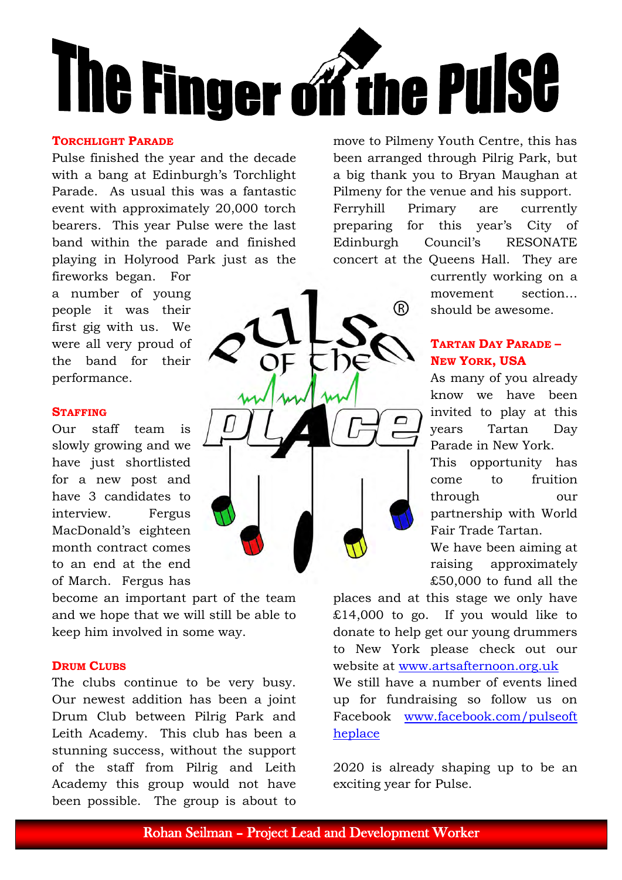

#### **TORCHLIGHT PARADE**

Pulse finished the year and the decade with a bang at Edinburgh's Torchlight Parade. As usual this was a fantastic event with approximately 20,000 torch bearers. This year Pulse were the last band within the parade and finished playing in Holyrood Park just as the

fireworks began. For a number of young people it was their first gig with us. We were all very proud of the band for their performance.

#### **STAFFING**

Our staff team is slowly growing and we have just shortlisted for a new post and have 3 candidates to interview. Fergus MacDonald's eighteen month contract comes to an end at the end of March. Fergus has

become an important part of the team and we hope that we will still be able to keep him involved in some way.

#### **DRUM CLUBS**

The clubs continue to be very busy. Our newest addition has been a joint Drum Club between Pilrig Park and Leith Academy. This club has been a stunning success, without the support of the staff from Pilrig and Leith Academy this group would not have been possible. The group is about to move to Pilmeny Youth Centre, this has been arranged through Pilrig Park, but a big thank you to Bryan Maughan at Pilmeny for the venue and his support. Ferryhill Primary are currently preparing for this year's City of Edinburgh Council's RESONATE concert at the Queens Hall. They are

®

currently working on a movement section… should be awesome.

#### **TARTAN DAY PARADE – NEW YORK, USA**

As many of you already know we have been invited to play at this years Tartan Day Parade in New York.

This opportunity has come to fruition through our partnership with World Fair Trade Tartan.

We have been aiming at raising approximately £50,000 to fund all the

places and at this stage we only have £14,000 to go. If you would like to donate to help get our young drummers to New York please check out our website at [www.artsafternoon.org.uk](http://www.artsafternoon.org.uk/) 

We still have a number of events lined up for fundraising so follow us on Facebook [www.facebook.com/pulseoft](http://www.facebook.com/pulseoftheplace) [heplace](http://www.facebook.com/pulseoftheplace) 

2020 is already shaping up to be an exciting year for Pulse.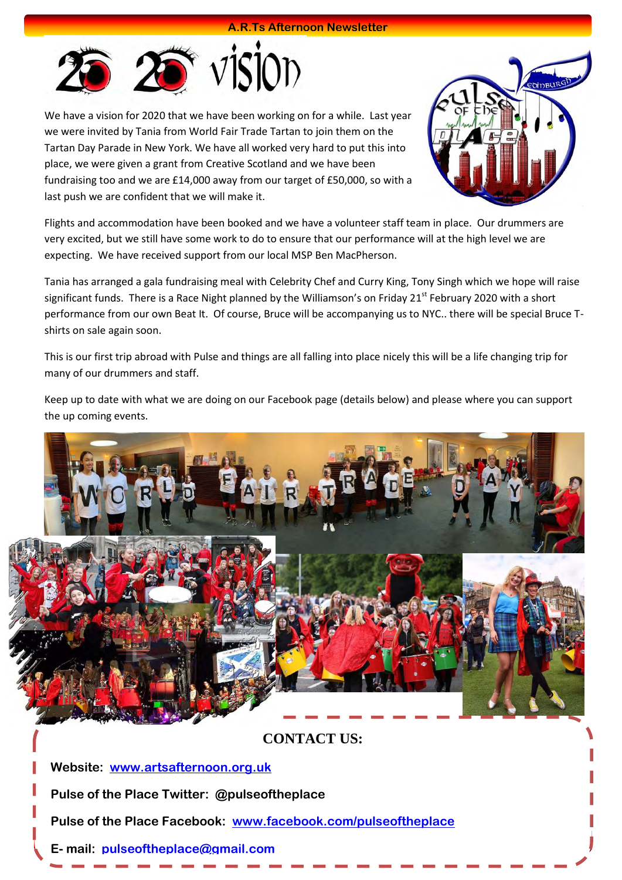#### **A.R.Ts Afternoon Newsletter**



We have a vision for 2020 that we have been working on for a while. Last year we were invited by Tania from World Fair Trade Tartan to join them on the Tartan Day Parade in New York. We have all worked very hard to put this into place, we were given a grant from Creative Scotland and we have been fundraising too and we are £14,000 away from our target of £50,000, so with a last push we are confident that we will make it.



Flights and accommodation have been booked and we have a volunteer staff team in place. Our drummers are very excited, but we still have some work to do to ensure that our performance will at the high level we are expecting. We have received support from our local MSP Ben MacPherson.

Tania has arranged a gala fundraising meal with Celebrity Chef and Curry King, Tony Singh which we hope will raise significant funds. There is a Race Night planned by the Williamson's on Friday 21<sup>st</sup> February 2020 with a short performance from our own Beat It. Of course, Bruce will be accompanying us to NYC.. there will be special Bruce Tshirts on sale again soon.

This is our first trip abroad with Pulse and things are all falling into place nicely this will be a life changing trip for many of our drummers and staff.

Keep up to date with what we are doing on our Facebook page (details below) and please where you can support the up coming events.



#### **CONTACT US:**

**Website: [www.artsafternoon.org.uk](http://www.artsafternoon.org.uk/)**

**Pulse of the Place Twitter: @pulseoftheplace**

**Pulse of the Place Facebook: [www.facebook.com/pulseoftheplace](http://www.facebook.com/pulseoftheplace)**

**E- mail: [pulseoftheplace@gmail.com](mailto:pulseoftheplace@gmail.com)**